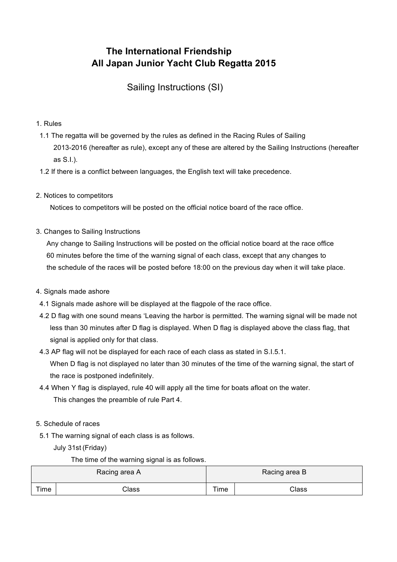# **The International Friendship All Japan Junior Yacht Club Regatta 2015**

**Sailing Instructions (SI)** 

## 1. Rules

- 1.1 The regatta will be governed by the rules as defined in the Racing Rules of Sailing 2013-2016 (hereafter as rule), except any of these are altered by the Sailing Instructions (hereafter as S.I.).
- 1.2 If there is a conflict between languages, the English text will take precedence.
- 2. Notices to competitors

Notices to competitors will be posted on the official notice board of the race office.

3. Changes to Sailing Instructions

 Any change to Sailing Instructions will be posted on the official notice board at the race office 60 minutes before the time of the warning signal of each class, except that any changes to the schedule of the races will be posted before 18:00 on the previous day when it will take place.

## 4. Signals made ashore

- 4.1 Signals made ashore will be displayed at the flagpole of the race office.
- 4.2 D flag with one sound means 'Leaving the harbor is permitted. The warning signal will be made not less than 30 minutes after D flag is displayed. When D flag is displayed above the class flag, that signal is applied only for that class.
- 4.3 AP flag will not be displayed for each race of each class as stated in S.I.5.1. When D flag is not displayed no later than 30 minutes of the time of the warning signal, the start of the race is postponed indefinitely.
- 4.4 When Y flag is displayed, rule 40 will apply all the time for boats afloat on the water. This changes the preamble of rule Part 4.
- 5. Schedule of races
- 5.1 The warning signal of each class is as follows.

July 31st (Friday)

The time of the warning signal is as follows.

| Racing area A |       | Racing area B |       |  |
|---------------|-------|---------------|-------|--|
| Time          | Class | Time          | Class |  |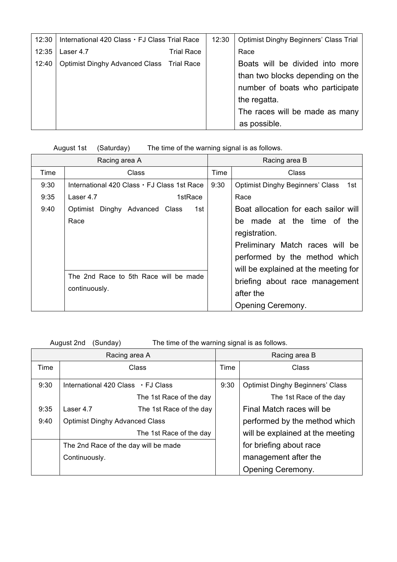| 12:30 | International 420 Class · FJ Class Trial Race |                   | 12:30 | <b>Optimist Dinghy Beginners' Class Trial</b> |
|-------|-----------------------------------------------|-------------------|-------|-----------------------------------------------|
| 12:35 | Laser 4.7                                     | <b>Trial Race</b> |       | Race                                          |
| 12:40 | Optimist Dinghy Advanced Class Trial Race     |                   |       | Boats will be divided into more               |
|       |                                               |                   |       | than two blocks depending on the              |
|       |                                               |                   |       | number of boats who participate               |
|       |                                               |                   |       | the regatta.                                  |
|       |                                               |                   |       | The races will be made as many                |
|       |                                               |                   |       | as possible.                                  |

## August 1st (Saturday) The time of the warning signal is as follows.

| Racing area A |                                                        | Racing area B |                                                 |  |
|---------------|--------------------------------------------------------|---------------|-------------------------------------------------|--|
| Time          | Class                                                  |               | Class                                           |  |
| 9:30          | International 420 Class · FJ Class 1st Race            | 9:30          | <b>Optimist Dinghy Beginners' Class</b><br>1st. |  |
| 9:35          | 1stRace<br>Laser 4.7                                   |               | Race                                            |  |
| 9:40          | Optimist Dinghy Advanced Class<br>1st                  |               | Boat allocation for each sailor will            |  |
|               | Race                                                   |               | made at the time of the<br>be                   |  |
|               |                                                        |               | registration.                                   |  |
|               |                                                        |               | Preliminary Match races will be                 |  |
|               |                                                        |               | performed by the method which                   |  |
|               |                                                        |               | will be explained at the meeting for            |  |
|               | The 2nd Race to 5th Race will be made<br>continuously. |               | briefing about race management                  |  |
|               |                                                        |               | after the                                       |  |
|               |                                                        |               | Opening Ceremony.                               |  |

August 2nd (Sunday) The time of the warning signal is as follows.

| Racing area A |                                       |                                          | Racing area B |                                         |  |
|---------------|---------------------------------------|------------------------------------------|---------------|-----------------------------------------|--|
| Time          |                                       | Class                                    | Time          | Class                                   |  |
| 9:30          |                                       | International 420 Class $\cdot$ FJ Class | 9:30          | <b>Optimist Dinghy Beginners' Class</b> |  |
|               |                                       | The 1st Race of the day                  |               | The 1st Race of the day                 |  |
| 9:35          | Laser 4.7                             | The 1st Race of the day                  |               | Final Match races will be               |  |
| 9:40          | <b>Optimist Dinghy Advanced Class</b> |                                          |               | performed by the method which           |  |
|               | The 1st Race of the day               |                                          |               | will be explained at the meeting        |  |
|               | The 2nd Race of the day will be made  |                                          |               | for briefing about race                 |  |
|               | Continuously.                         |                                          |               | management after the                    |  |
|               |                                       |                                          |               | Opening Ceremony.                       |  |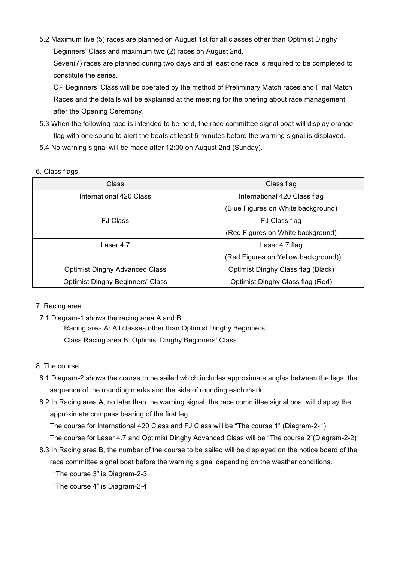5.2 Maximum five (5) races are planned on August 1st for all classes other than Optimist Dinghy Beginners' Class and maximum two (2) races on August 2nd.

Seven(7) races are planned during two days and at least one race is required to be completed to constitute the series.

 OP Beginners' Class will be operated by the method of Preliminary Match races and Final Match Races and the details will be explained at the meeting for the briefing about race management after the Opening Ceremony.

- 5.3 When the following race is intended to be held, the race committee signal boat will display orange flag with one sound to alert the boats at least 5 minutes before the warning signal is displayed.
- 5.4 No warning signal will be made after 12:00 on August 2nd (Sunday).

## 6. Class flags

| Class                                   | Class flag                          |  |
|-----------------------------------------|-------------------------------------|--|
| International 420 Class                 | International 420 Class flag        |  |
|                                         | (Blue Figures on White background)  |  |
| <b>FJ Class</b>                         | FJ Class flag                       |  |
|                                         | (Red Figures on White background)   |  |
| Laser 4.7                               | Laser 4.7 flag                      |  |
|                                         | (Red Figures on Yellow background)) |  |
| <b>Optimist Dinghy Advanced Class</b>   | Optimist Dinghy Class flag (Black)  |  |
| <b>Optimist Dinghy Beginners' Class</b> | Optimist Dinghy Class flag (Red)    |  |

## 7. Racing area

7.1 Diagram-1 shows the racing area A and B.

Racing area A: All classes other than Optimist Dinghy Beginners' Class Racing area B: Optimist Dinghy Beginners' Class

## 8. The course

- 8.1 Diagram-2 shows the course to be sailed which includes approximate angles between the legs, the sequence of the rounding marks and the side of rounding each mark.
- 8.2 In Racing area A, no later than the warning signal, the race committee signal boat will display the approximate compass bearing of the first leg.

The course for International 420 Class and FJ Class will be "The course 1" (Diagram-2-1)

The course for Laser 4.7 and Optimist Dinghy Advanced Class will be "The course 2"(Diagram-2-2)

8.3 In Racing area B, the number of the course to be sailed will be displayed on the notice board of the race committee signal boat before the warning signal depending on the weather conditions.

"The course 3" is Diagram-2-3

"The course 4" is Diagram-2-4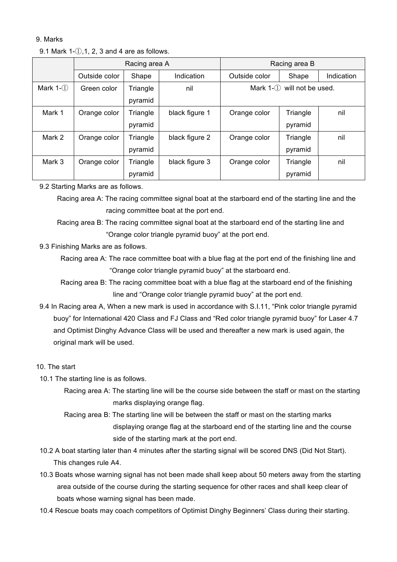### 9. Marks

#### 9.1 Mark  $1-(i)$ , 1, 2, 3 and 4 are as follows.

|              | Racing area A |          | Racing area B  |                                   |          |            |
|--------------|---------------|----------|----------------|-----------------------------------|----------|------------|
|              | Outside color | Shape    | Indication     | Outside color                     | Shape    | Indication |
| Mark $1-(1)$ | Green color   | Triangle | nil            | Mark $1-(1)$<br>will not be used. |          |            |
|              |               | pyramid  |                |                                   |          |            |
| Mark 1       | Orange color  | Triangle | black figure 1 | Orange color                      | Triangle | nil        |
|              |               | pyramid  |                |                                   | pyramid  |            |
| Mark 2       | Orange color  | Triangle | black figure 2 | Orange color                      | Triangle | nil        |
|              |               | pyramid  |                |                                   | pyramid  |            |
| Mark 3       | Orange color  | Triangle | black figure 3 | Orange color                      | Triangle | nil        |
|              |               | pyramid  |                |                                   | pyramid  |            |

## 9.2 Starting Marks are as follows.

 Racing area A: The racing committee signal boat at the starboard end of the starting line and the racing committee boat at the port end.

 Racing area B: The racing committee signal boat at the starboard end of the starting line and "Orange color triangle pyramid buoy" at the port end.

9.3 Finishing Marks are as follows.

 Racing area A: The race committee boat with a blue flag at the port end of the finishing line and "Orange color triangle pyramid buoy" at the starboard end.

 Racing area B: The racing committee boat with a blue flag at the starboard end of the finishing line and "Orange color triangle pyramid buoy" at the port end.

9.4 In Racing area A, When a new mark is used in accordance with S.I.11, "Pink color triangle pyramid buoy" for International 420 Class and FJ Class and "Red color triangle pyramid buoy" for Laser 4.7 and Optimist Dinghy Advance Class will be used and thereafter a new mark is used again, the original mark will be used.

## 10. The start

- 10.1 The starting line is as follows.
	- Racing area A: The starting line will be the course side between the staff or mast on the starting marks displaying orange flag.
	- Racing area B: The starting line will be between the staff or mast on the starting marks displaying orange flag at the starboard end of the starting line and the course side of the starting mark at the port end.
- 10.2 A boat starting later than 4 minutes after the starting signal will be scored DNS (Did Not Start). This changes rule A4.
- 10.3 Boats whose warning signal has not been made shall keep about 50 meters away from the starting area outside of the course during the starting sequence for other races and shall keep clear of boats whose warning signal has been made.
- 10.4 Rescue boats may coach competitors of Optimist Dinghy Beginners' Class during their starting.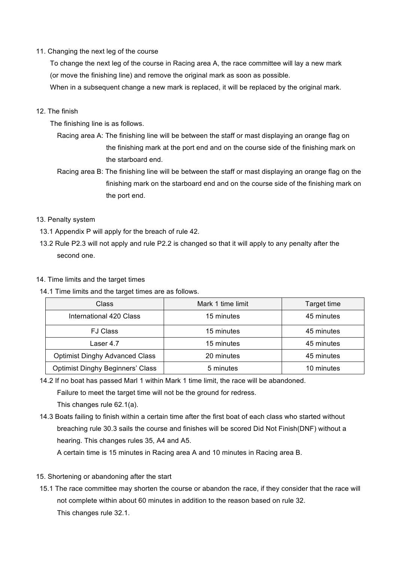## 11. Changing the next leg of the course

 To change the next leg of the course in Racing area A, the race committee will lay a new mark (or move the finishing line) and remove the original mark as soon as possible.

When in a subsequent change a new mark is replaced, it will be replaced by the original mark.

#### 12. The finish

The finishing line is as follows.

- Racing area A: The finishing line will be between the staff or mast displaying an orange flag on the finishing mark at the port end and on the course side of the finishing mark on the starboard end.
- Racing area B: The finishing line will be between the staff or mast displaying an orange flag on the finishing mark on the starboard end and on the course side of the finishing mark on the port end.

#### 13. Penalty system

- 13.1 Appendix P will apply for the breach of rule 42.
- 13.2 Rule P2.3 will not apply and rule P2.2 is changed so that it will apply to any penalty after the second one.

#### 14. Time limits and the target times

14.1 Time limits and the target times are as follows.

| <b>Class</b>                            | Mark 1 time limit |            |
|-----------------------------------------|-------------------|------------|
| 15 minutes<br>International 420 Class   |                   | 45 minutes |
| <b>FJ Class</b>                         | 15 minutes        | 45 minutes |
| Laser 4.7                               | 15 minutes        | 45 minutes |
| <b>Optimist Dinghy Advanced Class</b>   | 20 minutes        | 45 minutes |
| <b>Optimist Dinghy Beginners' Class</b> | 5 minutes         | 10 minutes |

14.2 If no boat has passed Marl 1 within Mark 1 time limit, the race will be abandoned.

Failure to meet the target time will not be the ground for redress.

This changes rule 62.1(a).

14.3 Boats failing to finish within a certain time after the first boat of each class who started without breaching rule 30.3 sails the course and finishes will be scored Did Not Finish(DNF) without a hearing. This changes rules 35, A4 and A5.

A certain time is 15 minutes in Racing area A and 10 minutes in Racing area B.

- 15. Shortening or abandoning after the start
- 15.1 The race committee may shorten the course or abandon the race, if they consider that the race will not complete within about 60 minutes in addition to the reason based on rule 32. This changes rule 32.1.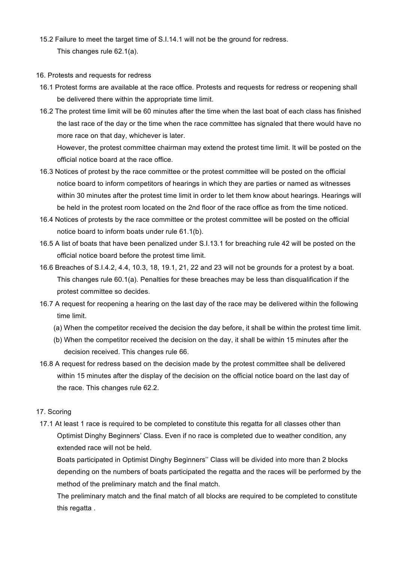- 15.2 Failure to meet the target time of S.I.14.1 will not be the ground for redress. This changes rule 62.1(a).
- 16. Protests and requests for redress
- 16.1 Protest forms are available at the race office. Protests and requests for redress or reopening shall be delivered there within the appropriate time limit.
- 16.2 The protest time limit will be 60 minutes after the time when the last boat of each class has finished the last race of the day or the time when the race committee has signaled that there would have no more race on that day, whichever is later.

 However, the protest committee chairman may extend the protest time limit. It will be posted on the official notice board at the race office.

- 16.3 Notices of protest by the race committee or the protest committee will be posted on the official notice board to inform competitors of hearings in which they are parties or named as witnesses within 30 minutes after the protest time limit in order to let them know about hearings. Hearings will be held in the protest room located on the 2nd floor of the race office as from the time noticed.
- 16.4 Notices of protests by the race committee or the protest committee will be posted on the official notice board to inform boats under rule 61.1(b).
- 16.5 A list of boats that have been penalized under S.I.13.1 for breaching rule 42 will be posted on the official notice board before the protest time limit.
- 16.6 Breaches of S.I.4.2, 4.4, 10.3, 18, 19.1, 21, 22 and 23 will not be grounds for a protest by a boat. This changes rule 60.1(a). Penalties for these breaches may be less than disqualification if the protest committee so decides.
- 16.7 A request for reopening a hearing on the last day of the race may be delivered within the following time limit.
	- (a) When the competitor received the decision the day before, it shall be within the protest time limit.
	- (b) When the competitor received the decision on the day, it shall be within 15 minutes after the decision received. This changes rule 66.
- 16.8 A request for redress based on the decision made by the protest committee shall be delivered within 15 minutes after the display of the decision on the official notice board on the last day of the race. This changes rule 62.2.

#### 17. Scoring

17.1 At least 1 race is required to be completed to constitute this regatta for all classes other than Optimist Dinghy Beginners' Class. Even if no race is completed due to weather condition, any extended race will not be held.

 Boats participated in Optimist Dinghy Beginners'' Class will be divided into more than 2 blocks depending on the numbers of boats participated the regatta and the races will be performed by the method of the preliminary match and the final match.

 The preliminary match and the final match of all blocks are required to be completed to constitute this regatta .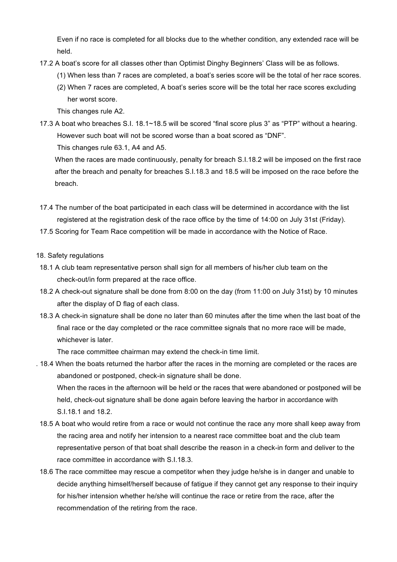Even if no race is completed for all blocks due to the whether condition, any extended race will be held.

- 17.2 A boat's score for all classes other than Optimist Dinghy Beginners' Class will be as follows.
	- (1) When less than 7 races are completed, a boat's series score will be the total of her race scores.
	- (2) When 7 races are completed, A boat's series score will be the total her race scores excluding her worst score.

This changes rule A2.

17.3 A boat who breaches S.I. 18.1~18.5 will be scored "final score plus 3" as "PTP" without a hearing. However such boat will not be scored worse than a boat scored as "DNF".

This changes rule 63.1, A4 and A5.

When the races are made continuously, penalty for breach S.I.18.2 will be imposed on the first race after the breach and penalty for breaches S.I.18.3 and 18.5 will be imposed on the race before the breach.

- 17.4 The number of the boat participated in each class will be determined in accordance with the list registered at the registration desk of the race office by the time of 14:00 on July 31st (Friday).
- 17.5 Scoring for Team Race competition will be made in accordance with the Notice of Race.

## 18. Safety regulations

- 18.1 A club team representative person shall sign for all members of his/her club team on the check-out/in form prepared at the race office.
- 18.2 A check-out signature shall be done from 8:00 on the day (from 11:00 on July 31st) by 10 minutes after the display of D flag of each class.
- 18.3 A check-in signature shall be done no later than 60 minutes after the time when the last boat of the final race or the day completed or the race committee signals that no more race will be made, whichever is later.

The race committee chairman may extend the check-in time limit.

- . 18.4 When the boats returned the harbor after the races in the morning are completed or the races are abandoned or postponed, check-in signature shall be done. When the races in the afternoon will be held or the races that were abandoned or postponed will be held, check-out signature shall be done again before leaving the harbor in accordance with S.I.18.1 and 18.2.
- 18.5 A boat who would retire from a race or would not continue the race any more shall keep away from the racing area and notify her intension to a nearest race committee boat and the club team representative person of that boat shall describe the reason in a check-in form and deliver to the race committee in accordance with S.I.18.3.
- 18.6 The race committee may rescue a competitor when they judge he/she is in danger and unable to decide anything himself/herself because of fatigue if they cannot get any response to their inquiry for his/her intension whether he/she will continue the race or retire from the race, after the recommendation of the retiring from the race.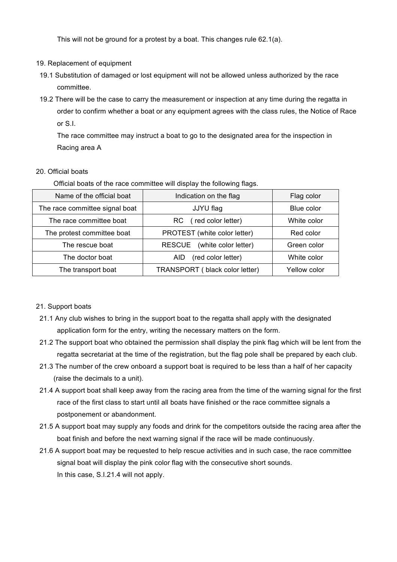This will not be ground for a protest by a boat. This changes rule 62.1(a).

## 19. Replacement of equipment

- 19.1 Substitution of damaged or lost equipment will not be allowed unless authorized by the race committee.
- 19.2 There will be the case to carry the measurement or inspection at any time during the regatta in order to confirm whether a boat or any equipment agrees with the class rules, the Notice of Race or S.I.

 The race committee may instruct a boat to go to the designated area for the inspection in Racing area A

## 20. Official boats

Official boats of the race committee will display the following flags.

| Name of the official boat      | Indication on the flag                | Flag color   |
|--------------------------------|---------------------------------------|--------------|
| The race committee signal boat | JJYU flag                             | Blue color   |
| The race committee boat        | (red color letter)<br>RC.             | White color  |
| The protest committee boat     | PROTEST (white color letter)          | Red color    |
| The rescue boat                | (white color letter)<br><b>RESCUE</b> | Green color  |
| The doctor boat                | (red color letter)<br>AID.            | White color  |
| The transport boat             | TRANSPORT (black color letter)        | Yellow color |

## 21. Support boats

- 21.1 Any club wishes to bring in the support boat to the regatta shall apply with the designated application form for the entry, writing the necessary matters on the form.
- 21.2 The support boat who obtained the permission shall display the pink flag which will be lent from the regatta secretariat at the time of the registration, but the flag pole shall be prepared by each club.
- 21.3 The number of the crew onboard a support boat is required to be less than a half of her capacity (raise the decimals to a unit).
- 21.4 A support boat shall keep away from the racing area from the time of the warning signal for the first race of the first class to start until all boats have finished or the race committee signals a postponement or abandonment.
- 21.5 A support boat may supply any foods and drink for the competitors outside the racing area after the boat finish and before the next warning signal if the race will be made continuously.
- 21.6 A support boat may be requested to help rescue activities and in such case, the race committee signal boat will display the pink color flag with the consecutive short sounds. In this case, S.I.21.4 will not apply.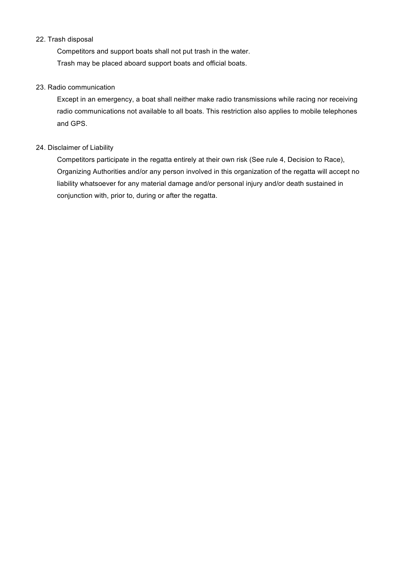## 22. Trash disposal

 Competitors and support boats shall not put trash in the water. Trash may be placed aboard support boats and official boats.

## 23. Radio communication

 Except in an emergency, a boat shall neither make radio transmissions while racing nor receiving radio communications not available to all boats. This restriction also applies to mobile telephones and GPS.

## 24. Disclaimer of Liability

 Competitors participate in the regatta entirely at their own risk (See rule 4, Decision to Race), Organizing Authorities and/or any person involved in this organization of the regatta will accept no liability whatsoever for any material damage and/or personal injury and/or death sustained in conjunction with, prior to, during or after the regatta.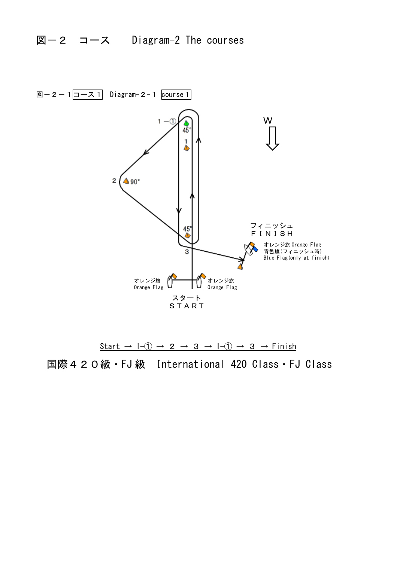

Start  $\rightarrow$  1-1  $\rightarrow$  2  $\rightarrow$  3  $\rightarrow$  1-1  $\rightarrow$  3  $\rightarrow$  Finish 国際420級・FJ 級 International 420 Class・FJ Class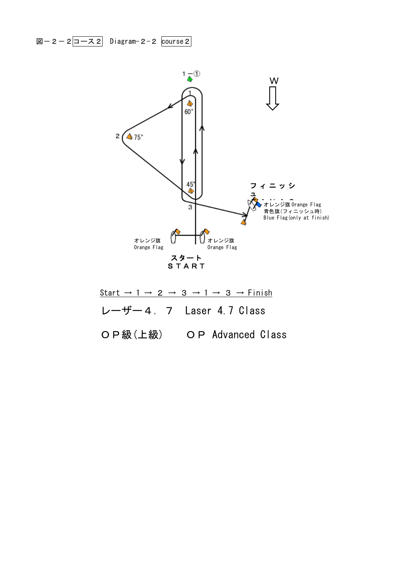図-2-2コース2 Diagram-2-2  $\overline{\text{course 2}}$